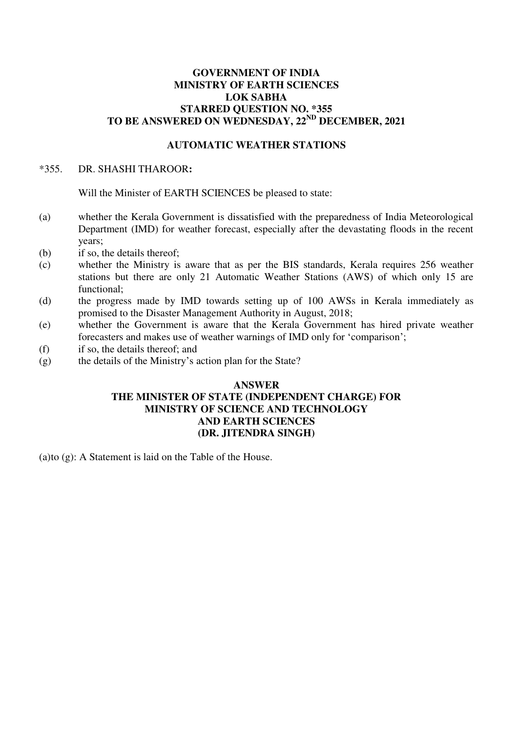## **GOVERNMENT OF INDIA MINISTRY OF EARTH SCIENCES LOK SABHA STARRED QUESTION NO. \*355 TO BE ANSWERED ON WEDNESDAY, 22ND DECEMBER, 2021**

#### **AUTOMATIC WEATHER STATIONS**

#### \*355.DR. SHASHI THAROOR**:**

Will the Minister of EARTH SCIENCES be pleased to state:

- (a) whether the Kerala Government is dissatisfied with the preparedness of India Meteorological Department (IMD) for weather forecast, especially after the devastating floods in the recent years;
- (b) if so, the details thereof;
- (c) whether the Ministry is aware that as per the BIS standards, Kerala requires 256 weather stations but there are only 21 Automatic Weather Stations (AWS) of which only 15 are functional;
- (d) the progress made by IMD towards setting up of 100 AWSs in Kerala immediately as promised to the Disaster Management Authority in August, 2018;
- (e) whether the Government is aware that the Kerala Government has hired private weather forecasters and makes use of weather warnings of IMD only for 'comparison';
- (f) if so, the details thereof; and
- (g) the details of the Ministry's action plan for the State?

### **ANSWER THE MINISTER OF STATE (INDEPENDENT CHARGE) FOR MINISTRY OF SCIENCE AND TECHNOLOGY AND EARTH SCIENCES (DR. JITENDRA SINGH)**

(a)to (g): A Statement is laid on the Table of the House.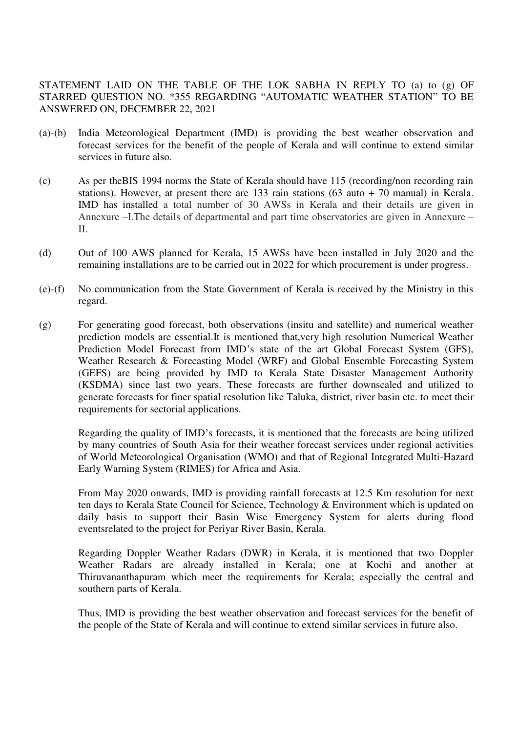STATEMENT LAID ON THE TABLE OF THE LOK SABHA IN REPLY TO (a) to (g) OF STARRED QUESTION NO. \*355 REGARDING "AUTOMATIC WEATHER STATION" TO BE ANSWERED ON, DECEMBER 22, 2021

- (a)-(b) India Meteorological Department (IMD) is providing the best weather observation and forecast services for the benefit of the people of Kerala and will continue to extend similar services in future also.
- (c) As per theBIS 1994 norms the State of Kerala should have 115 (recording/non recording rain stations). However, at present there are 133 rain stations (63 auto + 70 manual) in Kerala. IMD has installed a total number of 30 AWSs in Kerala and their details are given in Annexure –I.The details of departmental and part time observatories are given in Annexure – II.
- (d) Out of 100 AWS planned for Kerala, 15 AWSs have been installed in July 2020 and the remaining installations are to be carried out in 2022 for which procurement is under progress.
- (e)-(f) No communication from the State Government of Kerala is received by the Ministry in this regard.
- (g) For generating good forecast, both observations (insitu and satellite) and numerical weather prediction models are essential.It is mentioned that,very high resolution Numerical Weather Prediction Model Forecast from IMD's state of the art Global Forecast System (GFS), Weather Research & Forecasting Model (WRF) and Global Ensemble Forecasting System (GEFS) are being provided by IMD to Kerala State Disaster Management Authority (KSDMA) since last two years. These forecasts are further downscaled and utilized to generate forecasts for finer spatial resolution like Taluka, district, river basin etc. to meet their requirements for sectorial applications.

Regarding the quality of IMD's forecasts, it is mentioned that the forecasts are being utilized by many countries of South Asia for their weather forecast services under regional activities of World Meteorological Organisation (WMO) and that of Regional Integrated Multi-Hazard Early Warning System (RIMES) for Africa and Asia.

From May 2020 onwards, IMD is providing rainfall forecasts at 12.5 Km resolution for next ten days to Kerala State Council for Science, Technology & Environment which is updated on daily basis to support their Basin Wise Emergency System for alerts during flood eventsrelated to the project for Periyar River Basin, Kerala.

Regarding Doppler Weather Radars (DWR) in Kerala, it is mentioned that two Doppler Weather Radars are already installed in Kerala; one at Kochi and another at Thiruvananthapuram which meet the requirements for Kerala; especially the central and southern parts of Kerala.

Thus, IMD is providing the best weather observation and forecast services for the benefit of the people of the State of Kerala and will continue to extend similar services in future also.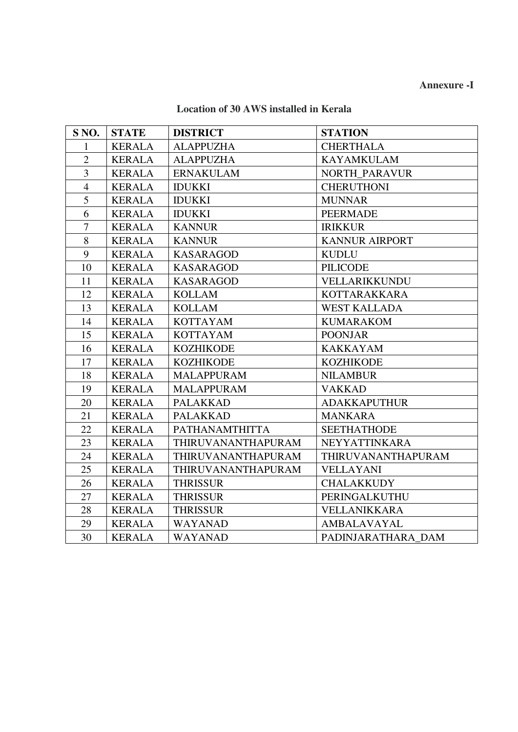## **Annexure -I**

| S NO.          | <b>STATE</b>  | <b>DISTRICT</b>           | <b>STATION</b>        |
|----------------|---------------|---------------------------|-----------------------|
| $\mathbf{1}$   | <b>KERALA</b> | <b>ALAPPUZHA</b>          | <b>CHERTHALA</b>      |
| $\overline{2}$ | <b>KERALA</b> | <b>ALAPPUZHA</b>          | <b>KAYAMKULAM</b>     |
| $\overline{3}$ | <b>KERALA</b> | <b>ERNAKULAM</b>          | <b>NORTH PARAVUR</b>  |
| $\overline{4}$ | <b>KERALA</b> | <b>IDUKKI</b>             | <b>CHERUTHONI</b>     |
| 5              | <b>KERALA</b> | <b>IDUKKI</b>             | <b>MUNNAR</b>         |
| 6              | <b>KERALA</b> | <b>IDUKKI</b>             | <b>PEERMADE</b>       |
| $\overline{7}$ | <b>KERALA</b> | <b>KANNUR</b>             | <b>IRIKKUR</b>        |
| 8              | <b>KERALA</b> | <b>KANNUR</b>             | <b>KANNUR AIRPORT</b> |
| 9              | <b>KERALA</b> | <b>KASARAGOD</b>          | <b>KUDLU</b>          |
| 10             | <b>KERALA</b> | <b>KASARAGOD</b>          | <b>PILICODE</b>       |
| 11             | <b>KERALA</b> | <b>KASARAGOD</b>          | VELLARIKKUNDU         |
| 12             | <b>KERALA</b> | <b>KOLLAM</b>             | <b>KOTTARAKKARA</b>   |
| 13             | <b>KERALA</b> | <b>KOLLAM</b>             | <b>WEST KALLADA</b>   |
| 14             | <b>KERALA</b> | <b>KOTTAYAM</b>           | <b>KUMARAKOM</b>      |
| 15             | <b>KERALA</b> | <b>KOTTAYAM</b>           | <b>POONJAR</b>        |
| 16             | <b>KERALA</b> | <b>KOZHIKODE</b>          | <b>KAKKAYAM</b>       |
| 17             | <b>KERALA</b> | <b>KOZHIKODE</b>          | <b>KOZHIKODE</b>      |
| 18             | <b>KERALA</b> | <b>MALAPPURAM</b>         | <b>NILAMBUR</b>       |
| 19             | <b>KERALA</b> | <b>MALAPPURAM</b>         | <b>VAKKAD</b>         |
| 20             | <b>KERALA</b> | <b>PALAKKAD</b>           | <b>ADAKKAPUTHUR</b>   |
| 21             | <b>KERALA</b> | <b>PALAKKAD</b>           | <b>MANKARA</b>        |
| 22             | <b>KERALA</b> | <b>PATHANAMTHITTA</b>     | <b>SEETHATHODE</b>    |
| 23             | <b>KERALA</b> | <b>THIRUVANANTHAPURAM</b> | <b>NEYYATTINKARA</b>  |
| 24             | <b>KERALA</b> | <b>THIRUVANANTHAPURAM</b> | THIRUVANANTHAPURAM    |
| 25             | <b>KERALA</b> | THIRUVANANTHAPURAM        | <b>VELLAYANI</b>      |
| 26             | <b>KERALA</b> | <b>THRISSUR</b>           | <b>CHALAKKUDY</b>     |
| 27             | <b>KERALA</b> | <b>THRISSUR</b>           | PERINGALKUTHU         |
| 28             | <b>KERALA</b> | <b>THRISSUR</b>           | VELLANIKKARA          |
| 29             | <b>KERALA</b> | <b>WAYANAD</b>            | AMBALAVAYAL           |
| 30             | <b>KERALA</b> | <b>WAYANAD</b>            | PADINJARATHARA DAM    |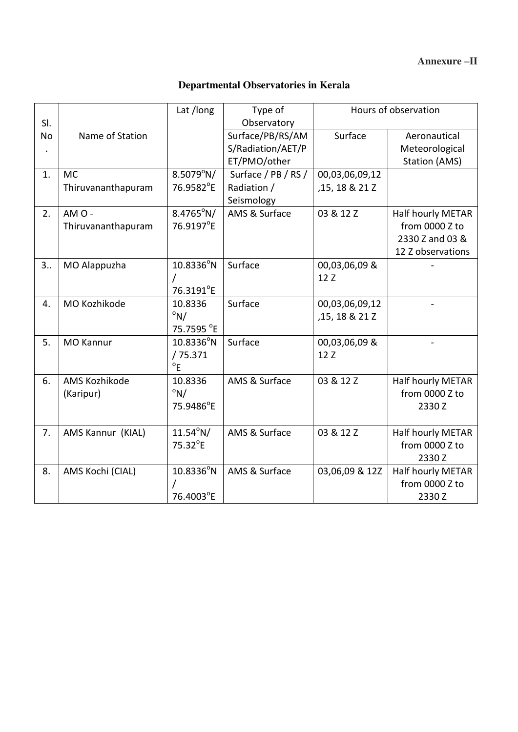## **Annexure –II**

# **Departmental Observatories in Kerala**

| SI. |                                 | Lat /long                                                   | Type of<br>Observatory                                | Hours of observation             |                                                                             |
|-----|---------------------------------|-------------------------------------------------------------|-------------------------------------------------------|----------------------------------|-----------------------------------------------------------------------------|
| No  | Name of Station                 |                                                             | Surface/PB/RS/AM<br>S/Radiation/AET/P<br>ET/PMO/other | Surface                          | Aeronautical<br>Meteorological<br>Station (AMS)                             |
| 1.  | <b>MC</b><br>Thiruvananthapuram | $8.5079^{\circ}$ N/<br>76.9582°E                            | Surface / PB / RS /<br>Radiation /<br>Seismology      | 00,03,06,09,12<br>,15, 18 & 21 Z |                                                                             |
| 2.  | AM O -<br>Thiruvananthapuram    | $8.4765^{\circ}N/$<br>76.9197°E                             | AMS & Surface                                         | 03 & 12 Z                        | Half hourly METAR<br>from 0000 Z to<br>2330 Z and 03 &<br>12 Z observations |
| 3.5 | MO Alappuzha                    | 10.8336°N<br>76.3191°E                                      | Surface                                               | 00,03,06,09 &<br>12 Z            |                                                                             |
| 4.  | MO Kozhikode                    | 10.8336<br>$\degree$ N/<br>75.7595 °E                       | Surface                                               | 00,03,06,09,12<br>,15, 18 & 21 Z |                                                                             |
| 5.  | <b>MO Kannur</b>                | $10.8336^{\circ}$ N<br>/75.371<br>$\mathrm{P}^{\mathrm{o}}$ | Surface                                               | 00,03,06,09 &<br>12 Z            |                                                                             |
| 6.  | AMS Kozhikode<br>(Karipur)      | 10.8336<br>$\degree$ N/<br>75.9486°E                        | AMS & Surface                                         | 03 & 12 Z                        | Half hourly METAR<br>from 0000 Z to<br>2330 Z                               |
| 7.  | AMS Kannur (KIAL)               | $11.54^{\circ}$ N/<br>75.32°E                               | AMS & Surface                                         | 03 & 12 Z                        | Half hourly METAR<br>from 0000 Z to<br>2330 Z                               |
| 8.  | AMS Kochi (CIAL)                | 10.8336°N<br>76.4003°E                                      | AMS & Surface                                         | 03,06,09 & 12Z                   | Half hourly METAR<br>from 0000 Z to<br>2330Z                                |